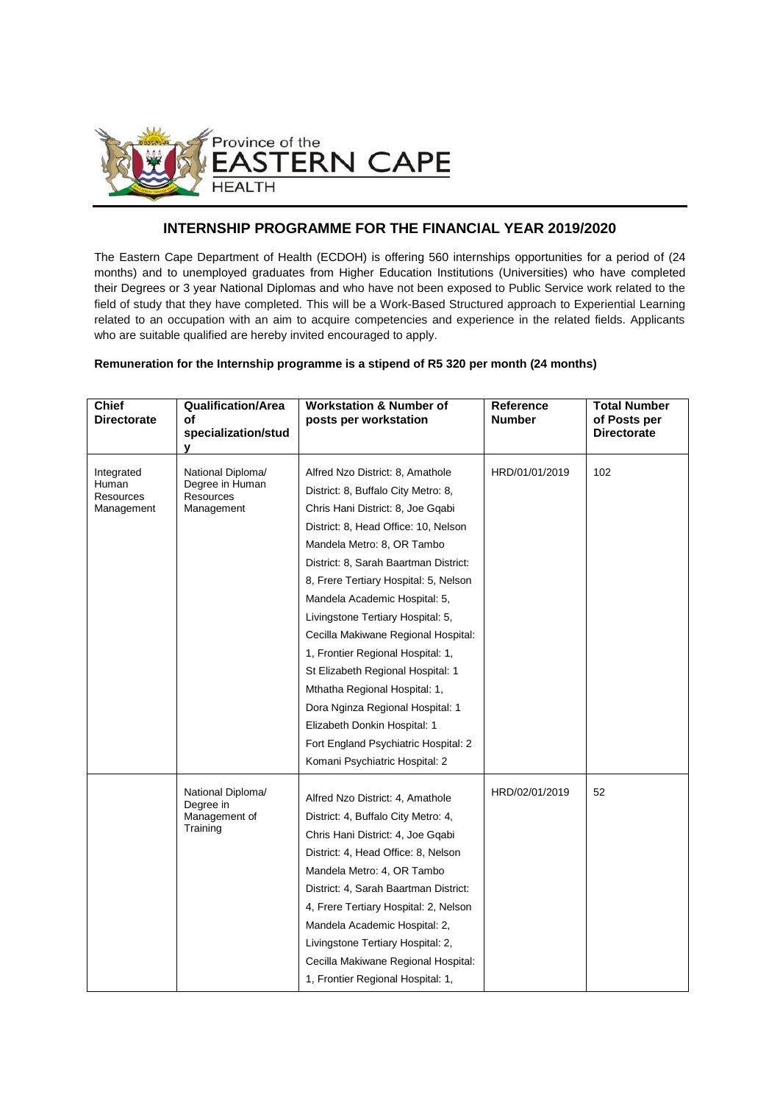

## **INTERNSHIP PROGRAMME FOR THE FINANCIAL YEAR 2019/2020**

The Eastern Cape Department of Health (ECDOH) is offering 560 internships opportunities for a period of (24 months) and to unemployed graduates from Higher Education Institutions (Universities) who have completed their Degrees or 3 year National Diplomas and who have not been exposed to Public Service work related to the field of study that they have completed. This will be a Work-Based Structured approach to Experiential Learning related to an occupation with an aim to acquire competencies and experience in the related fields. Applicants who are suitable qualified are hereby invited encouraged to apply.

## **Remuneration for the Internship programme is a stipend of R5 320 per month (24 months)**

| <b>Chief</b><br><b>Directorate</b>             | <b>Qualification/Area</b><br>οf<br>specialization/stud<br>y     | <b>Workstation &amp; Number of</b><br>posts per workstation                                                                                                                                                                                                                                                                                                                                                                                                                                                                      | <b>Reference</b><br><b>Number</b> | <b>Total Number</b><br>of Posts per<br><b>Directorate</b> |
|------------------------------------------------|-----------------------------------------------------------------|----------------------------------------------------------------------------------------------------------------------------------------------------------------------------------------------------------------------------------------------------------------------------------------------------------------------------------------------------------------------------------------------------------------------------------------------------------------------------------------------------------------------------------|-----------------------------------|-----------------------------------------------------------|
| Integrated<br>Human<br>Resources<br>Management | National Diploma/<br>Degree in Human<br>Resources<br>Management | Alfred Nzo District: 8, Amathole<br>District: 8, Buffalo City Metro: 8,<br>Chris Hani District: 8, Joe Gqabi<br>District: 8, Head Office: 10, Nelson<br>Mandela Metro: 8, OR Tambo<br>District: 8, Sarah Baartman District:<br>8, Frere Tertiary Hospital: 5, Nelson<br>Mandela Academic Hospital: 5,<br>Livingstone Tertiary Hospital: 5,<br>Cecilla Makiwane Regional Hospital:<br>1, Frontier Regional Hospital: 1,<br>St Elizabeth Regional Hospital: 1<br>Mthatha Regional Hospital: 1,<br>Dora Nginza Regional Hospital: 1 | HRD/01/01/2019                    | 102                                                       |
|                                                |                                                                 | Elizabeth Donkin Hospital: 1<br>Fort England Psychiatric Hospital: 2<br>Komani Psychiatric Hospital: 2                                                                                                                                                                                                                                                                                                                                                                                                                           |                                   |                                                           |
|                                                | National Diploma/<br>Degree in<br>Management of<br>Training     | Alfred Nzo District: 4, Amathole<br>District: 4, Buffalo City Metro: 4,<br>Chris Hani District: 4, Joe Gqabi<br>District: 4, Head Office: 8, Nelson<br>Mandela Metro: 4, OR Tambo<br>District: 4, Sarah Baartman District:<br>4, Frere Tertiary Hospital: 2, Nelson<br>Mandela Academic Hospital: 2,<br>Livingstone Tertiary Hospital: 2,<br>Cecilla Makiwane Regional Hospital:<br>1, Frontier Regional Hospital: 1,                                                                                                            | HRD/02/01/2019                    | 52                                                        |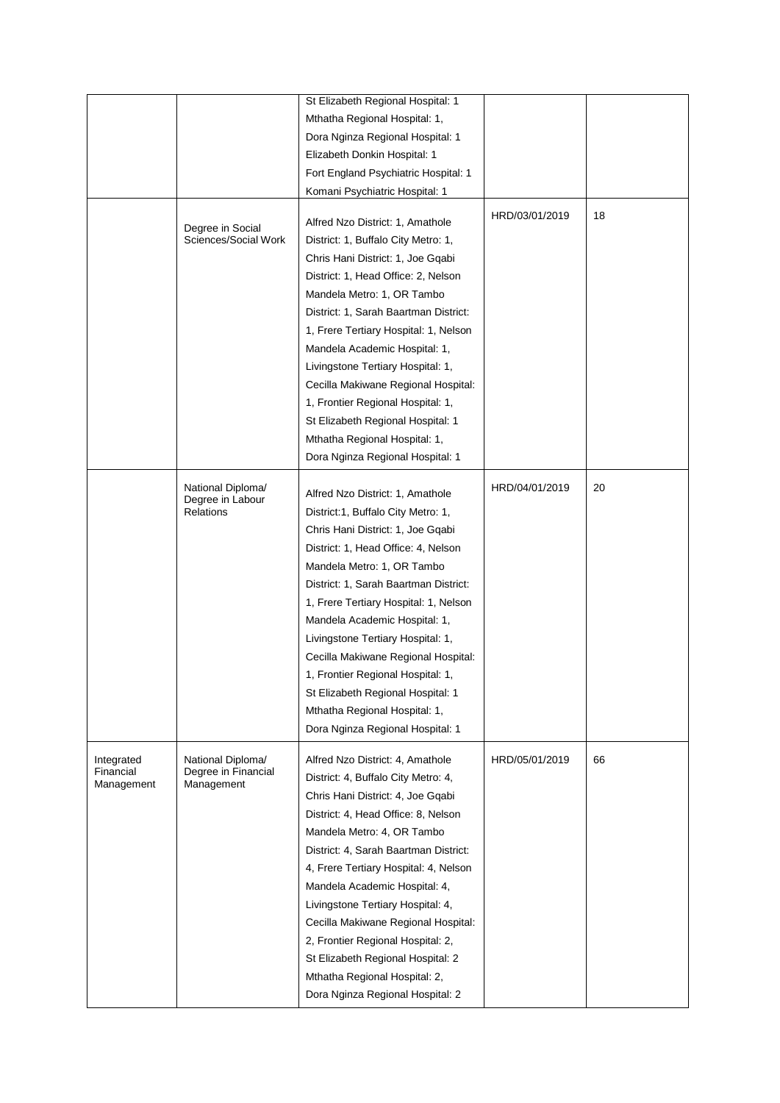|                         |                                          | St Elizabeth Regional Hospital: 1     |                |    |
|-------------------------|------------------------------------------|---------------------------------------|----------------|----|
|                         |                                          | Mthatha Regional Hospital: 1,         |                |    |
|                         |                                          | Dora Nginza Regional Hospital: 1      |                |    |
|                         |                                          | Elizabeth Donkin Hospital: 1          |                |    |
|                         |                                          | Fort England Psychiatric Hospital: 1  |                |    |
|                         |                                          | Komani Psychiatric Hospital: 1        |                |    |
|                         |                                          |                                       |                |    |
|                         | Degree in Social                         | Alfred Nzo District: 1, Amathole      | HRD/03/01/2019 | 18 |
| Sciences/Social Work    | District: 1, Buffalo City Metro: 1,      |                                       |                |    |
|                         |                                          | Chris Hani District: 1, Joe Gqabi     |                |    |
|                         |                                          | District: 1, Head Office: 2, Nelson   |                |    |
|                         |                                          | Mandela Metro: 1, OR Tambo            |                |    |
|                         |                                          | District: 1, Sarah Baartman District: |                |    |
|                         |                                          | 1, Frere Tertiary Hospital: 1, Nelson |                |    |
|                         |                                          | Mandela Academic Hospital: 1,         |                |    |
|                         |                                          | Livingstone Tertiary Hospital: 1,     |                |    |
|                         |                                          | Cecilla Makiwane Regional Hospital:   |                |    |
|                         |                                          | 1, Frontier Regional Hospital: 1,     |                |    |
|                         |                                          | St Elizabeth Regional Hospital: 1     |                |    |
|                         |                                          | Mthatha Regional Hospital: 1,         |                |    |
|                         |                                          | Dora Nginza Regional Hospital: 1      |                |    |
|                         |                                          |                                       |                |    |
|                         | National Diploma/                        | Alfred Nzo District: 1, Amathole      | HRD/04/01/2019 | 20 |
|                         | Degree in Labour<br>Relations            | District:1, Buffalo City Metro: 1,    |                |    |
|                         |                                          | Chris Hani District: 1, Joe Gqabi     |                |    |
|                         |                                          | District: 1, Head Office: 4, Nelson   |                |    |
|                         |                                          |                                       |                |    |
|                         |                                          | Mandela Metro: 1, OR Tambo            |                |    |
|                         |                                          | District: 1, Sarah Baartman District: |                |    |
|                         |                                          | 1, Frere Tertiary Hospital: 1, Nelson |                |    |
|                         |                                          | Mandela Academic Hospital: 1,         |                |    |
|                         |                                          | Livingstone Tertiary Hospital: 1,     |                |    |
|                         |                                          | Cecilla Makiwane Regional Hospital:   |                |    |
|                         |                                          | 1, Frontier Regional Hospital: 1,     |                |    |
|                         |                                          | St Elizabeth Regional Hospital: 1     |                |    |
|                         |                                          | Mthatha Regional Hospital: 1,         |                |    |
|                         |                                          | Dora Nginza Regional Hospital: 1      |                |    |
| Integrated<br>Financial | National Diploma/<br>Degree in Financial | Alfred Nzo District: 4, Amathole      | HRD/05/01/2019 | 66 |
| Management              | Management                               | District: 4, Buffalo City Metro: 4,   |                |    |
|                         |                                          | Chris Hani District: 4, Joe Gqabi     |                |    |
|                         |                                          | District: 4, Head Office: 8, Nelson   |                |    |
|                         |                                          | Mandela Metro: 4, OR Tambo            |                |    |
|                         |                                          | District: 4, Sarah Baartman District: |                |    |
|                         |                                          | 4, Frere Tertiary Hospital: 4, Nelson |                |    |
|                         |                                          | Mandela Academic Hospital: 4,         |                |    |
|                         |                                          | Livingstone Tertiary Hospital: 4,     |                |    |
|                         |                                          | Cecilla Makiwane Regional Hospital:   |                |    |
|                         |                                          | 2, Frontier Regional Hospital: 2,     |                |    |
|                         |                                          | St Elizabeth Regional Hospital: 2     |                |    |
|                         |                                          | Mthatha Regional Hospital: 2,         |                |    |
|                         |                                          | Dora Nginza Regional Hospital: 2      |                |    |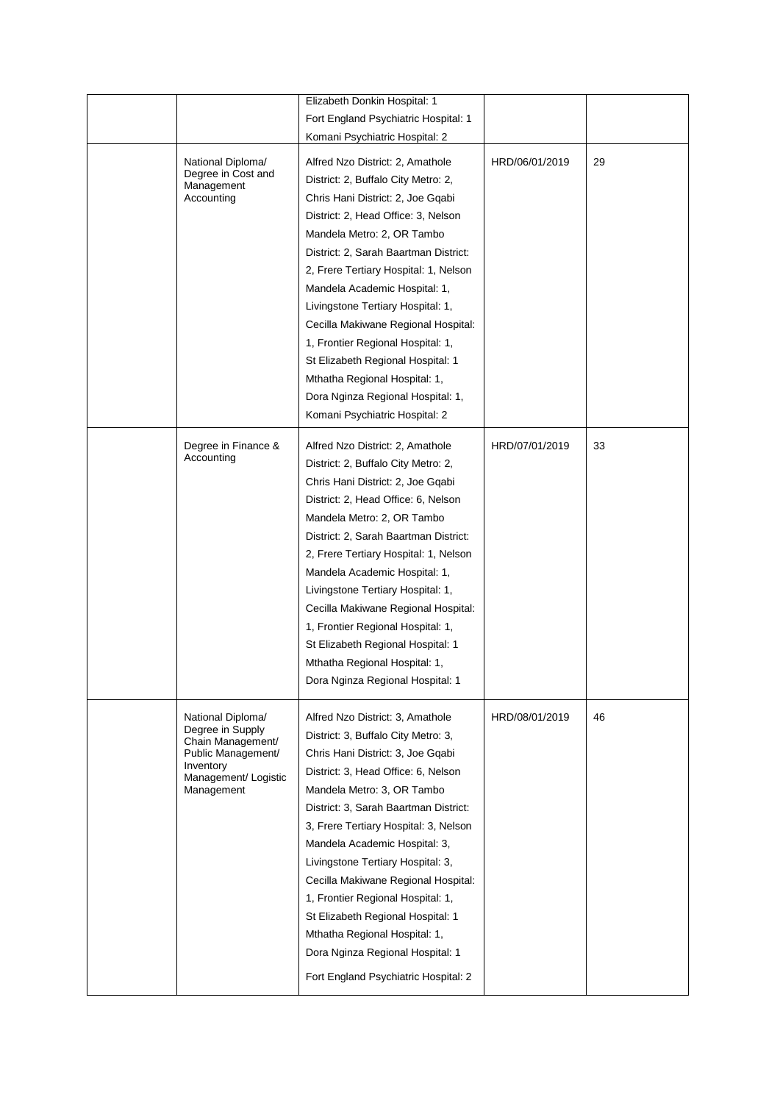|                                                                                                                                     | Elizabeth Donkin Hospital: 1                                                                                                                                                                                                                                                                                                                                                                                                                                                                                                                                            |                |    |
|-------------------------------------------------------------------------------------------------------------------------------------|-------------------------------------------------------------------------------------------------------------------------------------------------------------------------------------------------------------------------------------------------------------------------------------------------------------------------------------------------------------------------------------------------------------------------------------------------------------------------------------------------------------------------------------------------------------------------|----------------|----|
|                                                                                                                                     | Fort England Psychiatric Hospital: 1                                                                                                                                                                                                                                                                                                                                                                                                                                                                                                                                    |                |    |
|                                                                                                                                     | Komani Psychiatric Hospital: 2                                                                                                                                                                                                                                                                                                                                                                                                                                                                                                                                          |                |    |
| National Diploma/<br>Degree in Cost and<br>Management<br>Accounting                                                                 | Alfred Nzo District: 2, Amathole<br>District: 2, Buffalo City Metro: 2,<br>Chris Hani District: 2, Joe Gqabi<br>District: 2, Head Office: 3, Nelson<br>Mandela Metro: 2, OR Tambo<br>District: 2, Sarah Baartman District:<br>2, Frere Tertiary Hospital: 1, Nelson<br>Mandela Academic Hospital: 1,<br>Livingstone Tertiary Hospital: 1,<br>Cecilla Makiwane Regional Hospital:<br>1, Frontier Regional Hospital: 1,<br>St Elizabeth Regional Hospital: 1<br>Mthatha Regional Hospital: 1,                                                                             | HRD/06/01/2019 | 29 |
|                                                                                                                                     | Dora Nginza Regional Hospital: 1,                                                                                                                                                                                                                                                                                                                                                                                                                                                                                                                                       |                |    |
| Degree in Finance &<br>Accounting                                                                                                   | Komani Psychiatric Hospital: 2<br>Alfred Nzo District: 2, Amathole<br>District: 2, Buffalo City Metro: 2,<br>Chris Hani District: 2, Joe Gqabi<br>District: 2, Head Office: 6, Nelson<br>Mandela Metro: 2, OR Tambo<br>District: 2, Sarah Baartman District:<br>2, Frere Tertiary Hospital: 1, Nelson<br>Mandela Academic Hospital: 1,<br>Livingstone Tertiary Hospital: 1,<br>Cecilla Makiwane Regional Hospital:<br>1, Frontier Regional Hospital: 1,<br>St Elizabeth Regional Hospital: 1<br>Mthatha Regional Hospital: 1,<br>Dora Nginza Regional Hospital: 1       | HRD/07/01/2019 | 33 |
| National Diploma/<br>Degree in Supply<br>Chain Management/<br>Public Management/<br>Inventory<br>Management/ Logistic<br>Management | Alfred Nzo District: 3, Amathole<br>District: 3, Buffalo City Metro: 3,<br>Chris Hani District: 3, Joe Gqabi<br>District: 3, Head Office: 6, Nelson<br>Mandela Metro: 3, OR Tambo<br>District: 3, Sarah Baartman District:<br>3, Frere Tertiary Hospital: 3, Nelson<br>Mandela Academic Hospital: 3,<br>Livingstone Tertiary Hospital: 3,<br>Cecilla Makiwane Regional Hospital:<br>1, Frontier Regional Hospital: 1,<br>St Elizabeth Regional Hospital: 1<br>Mthatha Regional Hospital: 1,<br>Dora Nginza Regional Hospital: 1<br>Fort England Psychiatric Hospital: 2 | HRD/08/01/2019 | 46 |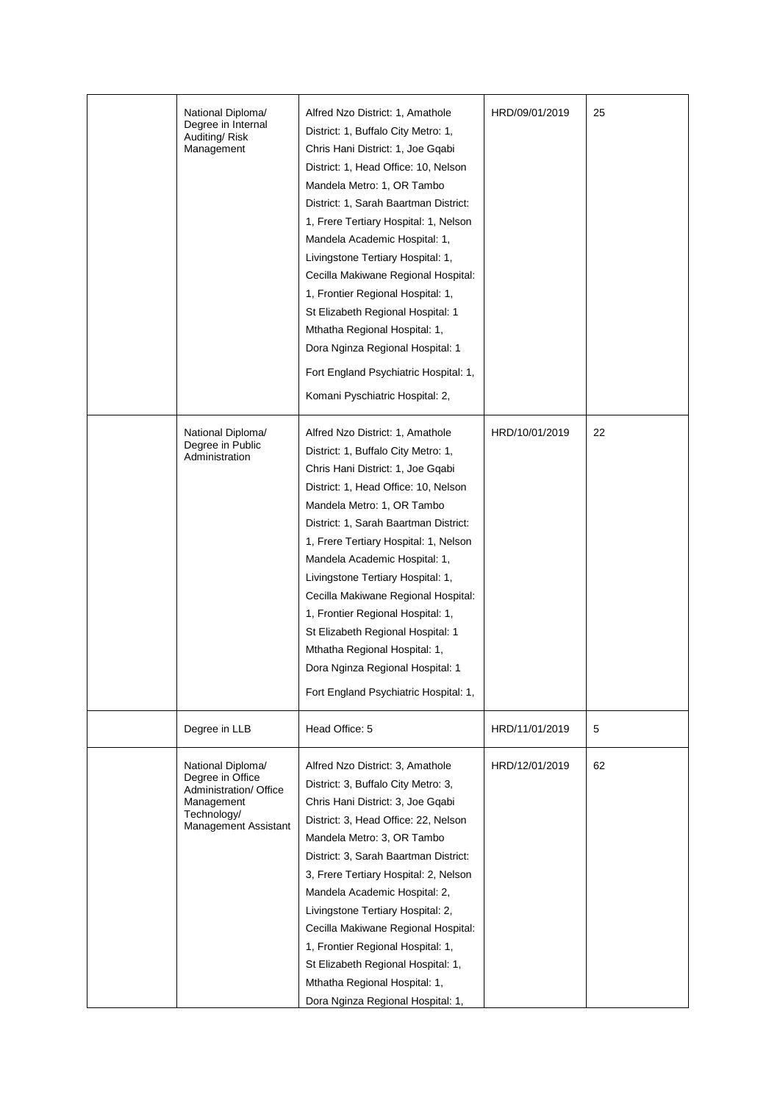| National Diploma/<br>Degree in Internal<br>Auditing/Risk<br>Management                                               | Alfred Nzo District: 1, Amathole<br>District: 1, Buffalo City Metro: 1,<br>Chris Hani District: 1, Joe Gqabi<br>District: 1, Head Office: 10, Nelson<br>Mandela Metro: 1, OR Tambo<br>District: 1, Sarah Baartman District:<br>1, Frere Tertiary Hospital: 1, Nelson<br>Mandela Academic Hospital: 1,<br>Livingstone Tertiary Hospital: 1,<br>Cecilla Makiwane Regional Hospital:<br>1, Frontier Regional Hospital: 1,<br>St Elizabeth Regional Hospital: 1<br>Mthatha Regional Hospital: 1,<br>Dora Nginza Regional Hospital: 1<br>Fort England Psychiatric Hospital: 1,<br>Komani Pyschiatric Hospital: 2, | HRD/09/01/2019 | 25 |
|----------------------------------------------------------------------------------------------------------------------|--------------------------------------------------------------------------------------------------------------------------------------------------------------------------------------------------------------------------------------------------------------------------------------------------------------------------------------------------------------------------------------------------------------------------------------------------------------------------------------------------------------------------------------------------------------------------------------------------------------|----------------|----|
| National Diploma/<br>Degree in Public<br>Administration                                                              | Alfred Nzo District: 1, Amathole<br>District: 1, Buffalo City Metro: 1,<br>Chris Hani District: 1, Joe Gqabi<br>District: 1, Head Office: 10, Nelson<br>Mandela Metro: 1, OR Tambo<br>District: 1, Sarah Baartman District:<br>1, Frere Tertiary Hospital: 1, Nelson<br>Mandela Academic Hospital: 1,<br>Livingstone Tertiary Hospital: 1,<br>Cecilla Makiwane Regional Hospital:<br>1, Frontier Regional Hospital: 1,<br>St Elizabeth Regional Hospital: 1<br>Mthatha Regional Hospital: 1,<br>Dora Nginza Regional Hospital: 1<br>Fort England Psychiatric Hospital: 1,                                    | HRD/10/01/2019 | 22 |
| Degree in LLB                                                                                                        | Head Office: 5                                                                                                                                                                                                                                                                                                                                                                                                                                                                                                                                                                                               | HRD/11/01/2019 | 5  |
| National Diploma/<br>Degree in Office<br>Administration/ Office<br>Management<br>Technology/<br>Management Assistant | Alfred Nzo District: 3, Amathole<br>District: 3, Buffalo City Metro: 3,<br>Chris Hani District: 3, Joe Gqabi<br>District: 3, Head Office: 22, Nelson<br>Mandela Metro: 3, OR Tambo<br>District: 3, Sarah Baartman District:<br>3, Frere Tertiary Hospital: 2, Nelson<br>Mandela Academic Hospital: 2,<br>Livingstone Tertiary Hospital: 2,<br>Cecilla Makiwane Regional Hospital:<br>1, Frontier Regional Hospital: 1,<br>St Elizabeth Regional Hospital: 1,<br>Mthatha Regional Hospital: 1,<br>Dora Nginza Regional Hospital: 1,                                                                           | HRD/12/01/2019 | 62 |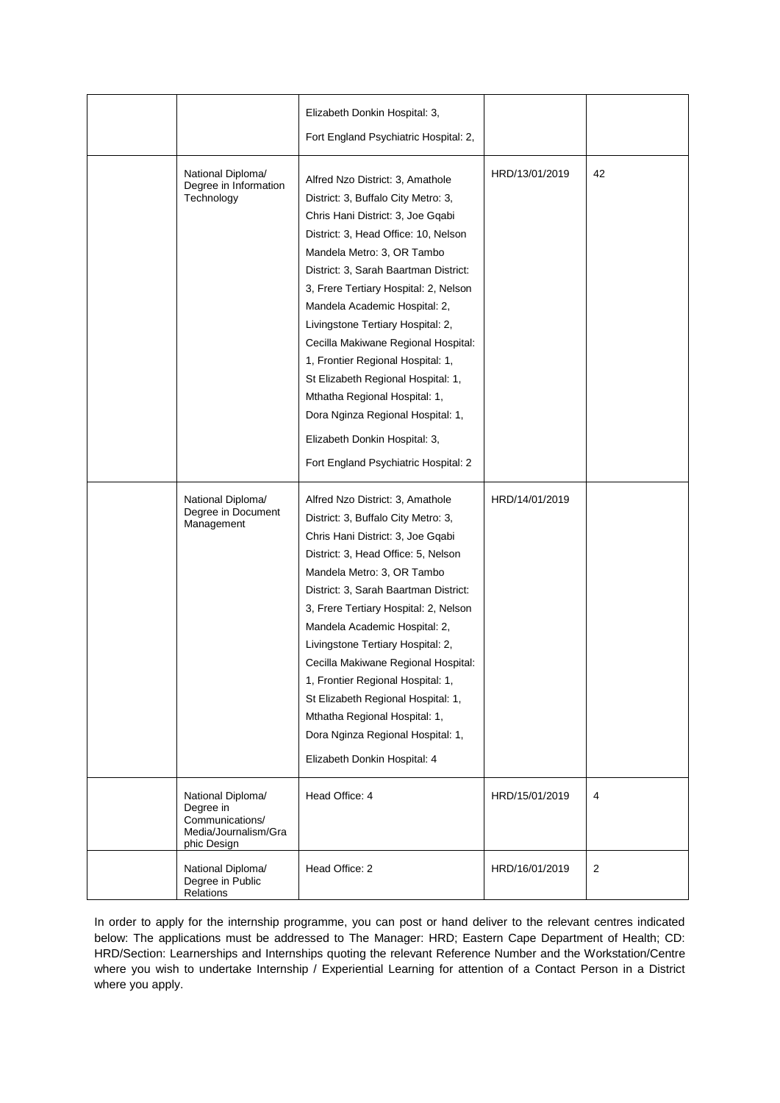|                                                                                          | Elizabeth Donkin Hospital: 3,<br>Fort England Psychiatric Hospital: 2,                                                                                                                                                                                                                                                                                                                                                                                                                                                                                                                                      |                |    |
|------------------------------------------------------------------------------------------|-------------------------------------------------------------------------------------------------------------------------------------------------------------------------------------------------------------------------------------------------------------------------------------------------------------------------------------------------------------------------------------------------------------------------------------------------------------------------------------------------------------------------------------------------------------------------------------------------------------|----------------|----|
| National Diploma/<br>Degree in Information<br>Technology                                 | Alfred Nzo District: 3, Amathole<br>District: 3, Buffalo City Metro: 3,<br>Chris Hani District: 3, Joe Gqabi<br>District: 3, Head Office: 10, Nelson<br>Mandela Metro: 3, OR Tambo<br>District: 3, Sarah Baartman District:<br>3, Frere Tertiary Hospital: 2, Nelson<br>Mandela Academic Hospital: 2,<br>Livingstone Tertiary Hospital: 2,<br>Cecilla Makiwane Regional Hospital:<br>1, Frontier Regional Hospital: 1,<br>St Elizabeth Regional Hospital: 1,<br>Mthatha Regional Hospital: 1,<br>Dora Nginza Regional Hospital: 1,<br>Elizabeth Donkin Hospital: 3,<br>Fort England Psychiatric Hospital: 2 | HRD/13/01/2019 | 42 |
| National Diploma/<br>Degree in Document<br>Management                                    | Alfred Nzo District: 3, Amathole<br>District: 3, Buffalo City Metro: 3,<br>Chris Hani District: 3, Joe Gqabi<br>District: 3, Head Office: 5, Nelson<br>Mandela Metro: 3, OR Tambo<br>District: 3, Sarah Baartman District:<br>3, Frere Tertiary Hospital: 2, Nelson<br>Mandela Academic Hospital: 2,<br>Livingstone Tertiary Hospital: 2,<br>Cecilla Makiwane Regional Hospital:<br>1, Frontier Regional Hospital: 1,<br>St Elizabeth Regional Hospital: 1,<br>Mthatha Regional Hospital: 1,<br>Dora Nginza Regional Hospital: 1,<br>Elizabeth Donkin Hospital: 4                                           | HRD/14/01/2019 |    |
| National Diploma/<br>Degree in<br>Communications/<br>Media/Journalism/Gra<br>phic Design | Head Office: 4                                                                                                                                                                                                                                                                                                                                                                                                                                                                                                                                                                                              | HRD/15/01/2019 | 4  |
| National Diploma/<br>Degree in Public<br>Relations                                       | Head Office: 2                                                                                                                                                                                                                                                                                                                                                                                                                                                                                                                                                                                              | HRD/16/01/2019 | 2  |

In order to apply for the internship programme, you can post or hand deliver to the relevant centres indicated below: The applications must be addressed to The Manager: HRD; Eastern Cape Department of Health; CD: HRD/Section: Learnerships and Internships quoting the relevant Reference Number and the Workstation/Centre where you wish to undertake Internship / Experiential Learning for attention of a Contact Person in a District where you apply.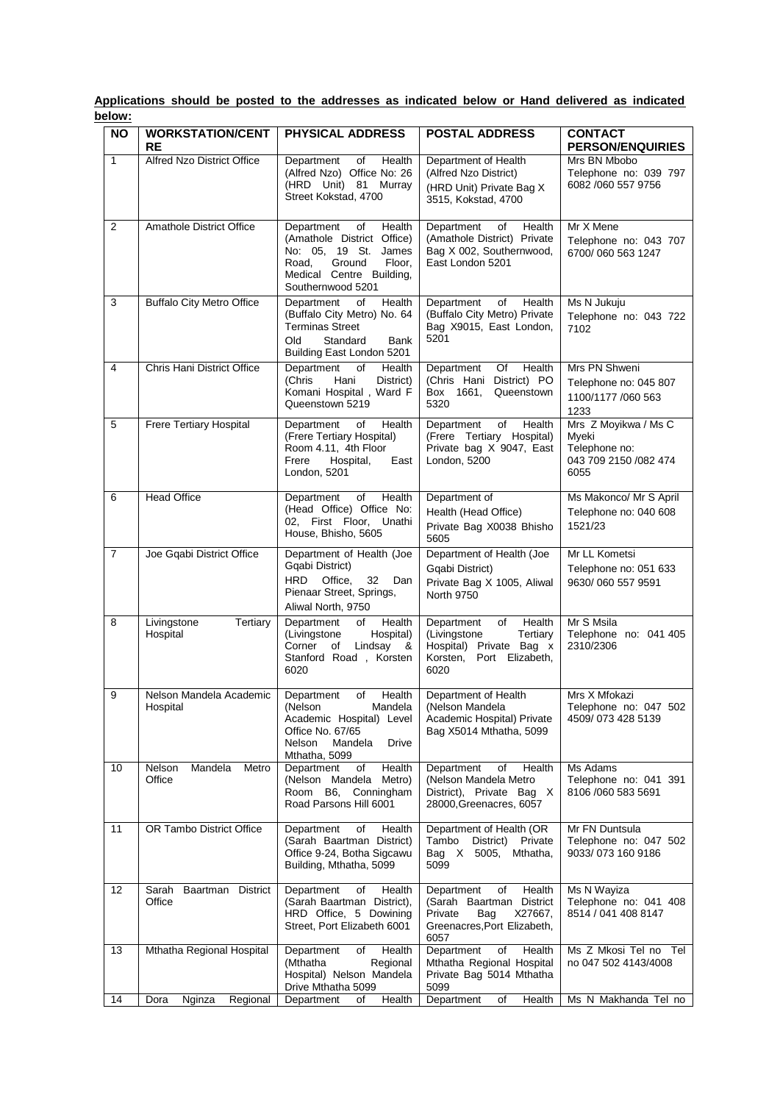| <u>Jelow:</u>  |                                                |                                                                                                                                                                |                                                                                                                            |                                                                                 |
|----------------|------------------------------------------------|----------------------------------------------------------------------------------------------------------------------------------------------------------------|----------------------------------------------------------------------------------------------------------------------------|---------------------------------------------------------------------------------|
| <b>NO</b>      | <b>WORKSTATION/CENT</b><br>RE                  | <b>PHYSICAL ADDRESS</b>                                                                                                                                        | <b>POSTAL ADDRESS</b>                                                                                                      | <b>CONTACT</b><br><b>PERSON/ENQUIRIES</b>                                       |
| $\mathbf{1}$   | Alfred Nzo District Office                     | Health<br>Department<br>of<br>(Alfred Nzo) Office No: 26<br>(HRD Unit) 81 Murray<br>Street Kokstad, 4700                                                       | Department of Health<br>(Alfred Nzo District)<br>(HRD Unit) Private Bag X<br>3515, Kokstad, 4700                           | Mrs BN Mbobo<br>Telephone no: 039 797<br>6082 /060 557 9756                     |
| 2              | <b>Amathole District Office</b>                | Department<br>of<br>Health<br>(Amathole District Office)<br>No: 05, 19 St. James<br>Ground<br>Floor,<br>Road,<br>Medical Centre Building,<br>Southernwood 5201 | Health<br>Department<br>of<br>(Amathole District) Private<br>Bag X 002, Southernwood,<br>East London 5201                  | Mr X Mene<br>Telephone no: 043 707<br>6700/060 563 1247                         |
| 3              | <b>Buffalo City Metro Office</b>               | of<br>Department<br>Health<br>(Buffalo City Metro) No. 64<br><b>Terminas Street</b><br>Old<br>Standard<br>Bank<br>Building East London 5201                    | Health<br>Department<br>of<br>(Buffalo City Metro) Private<br>Bag X9015, East London,<br>5201                              | Ms N Jukuju<br>Telephone no: 043 722<br>7102                                    |
| 4              | Chris Hani District Office                     | <b>Department</b><br>of<br>Health<br>(Chris<br>Hani<br>District)<br>Komani Hospital, Ward F<br>Queenstown 5219                                                 | Health<br>Of<br>Department<br>(Chris Hani District) PO<br>Box 1661,<br>Queenstown<br>5320                                  | Mrs PN Shweni<br>Telephone no: 045 807<br>1100/1177 /060 563<br>1233            |
| 5              | Frere Tertiary Hospital                        | Department<br>Health<br>of<br>(Frere Tertiary Hospital)<br>Room 4.11, 4th Floor<br>Hospital,<br>Frere<br>East<br>London, 5201                                  | Department<br>of<br>Health<br>(Frere Tertiary Hospital)<br>Private bag X 9047, East<br>London, 5200                        | Mrs Z Moyikwa / Ms C<br>Mveki<br>Telephone no:<br>043 709 2150 /082 474<br>6055 |
| 6              | <b>Head Office</b>                             | <b>Health</b><br>of<br>Department<br>(Head Office) Office No:<br>02, First Floor, Unathi<br>House, Bhisho, 5605                                                | Department of<br>Health (Head Office)<br>Private Bag X0038 Bhisho<br>5605                                                  | Ms Makonco/ Mr S April<br>Telephone no: 040 608<br>1521/23                      |
| $\overline{7}$ | Joe Gqabi District Office                      | Department of Health (Joe<br>Gqabi District)<br>HRD Office.<br>32 Dan<br>Pienaar Street, Springs,<br>Aliwal North, 9750                                        | Department of Health (Joe<br>Gqabi District)<br>Private Bag X 1005, Aliwal<br>North 9750                                   | Mr LL Kometsi<br>Telephone no: 051 633<br>9630/060 557 9591                     |
| 8              | Livingstone<br>Tertiary<br>Hospital            | Department<br>Health<br>of<br>(Livingstone<br>Hospital)<br>Corner<br>Lindsay &<br>of<br>Stanford Road, Korsten<br>6020                                         | Health<br>Department<br>of<br>(Livingstone<br>Tertiary<br>Hospital) Private Bag x<br>Korsten, Port Elizabeth,<br>6020      | Mr S Msila<br>Telephone no: 041 405<br>2310/2306                                |
| 9              | Nelson Mandela Academic<br>Hospital            | Health<br>Department<br>of<br>(Nelson<br>Mandela<br>Academic Hospital) Level<br>Office No. 67/65<br>Nelson<br>Mandela<br>Drive<br>Mthatha, 5099                | Department of Health<br>(Nelson Mandela<br>Academic Hospital) Private<br>Bag X5014 Mthatha, 5099                           | Mrs X Mfokazi<br>Telephone no: 047 502<br>4509/073 428 5139                     |
| 10             | Nelson<br>Mandela<br>Metro<br>Office           | o <sub>f</sub><br>Health<br>Department<br>(Nelson Mandela Metro)<br>Room B6, Conningham<br>Road Parsons Hill 6001                                              | Department<br>of<br>Health<br>(Nelson Mandela Metro<br>District), Private Bag X<br>28000, Greenacres, 6057                 | Ms Adams<br>Telephone no: 041 391<br>8106 / 060 583 5691                        |
| 11             | OR Tambo District Office                       | of<br>Health<br>Department<br>(Sarah Baartman District)<br>Office 9-24, Botha Sigcawu<br>Building, Mthatha, 5099                                               | Department of Health (OR<br>Tambo<br>District)<br>Private<br>Bag X 5005,<br>Mthatha,<br>5099                               | Mr FN Duntsula<br>Telephone no: 047 502<br>9033/073 160 9186                    |
| 12             | <b>District</b><br>Sarah<br>Baartman<br>Office | Health<br>Department<br>of<br>(Sarah Baartman District),<br>HRD Office, 5 Dowining<br>Street, Port Elizabeth 6001                                              | Health<br>Department<br>of<br>(Sarah Baartman District<br>Private<br>X27667,<br>Bag<br>Greenacres, Port Elizabeth,<br>6057 | Ms N Wayiza<br>Telephone no: 041 408<br>8514 / 041 408 8147                     |
| 13             | Mthatha Regional Hospital                      | Department<br>Health<br>of<br>(Mthatha<br>Regional<br>Hospital) Nelson Mandela<br>Drive Mthatha 5099                                                           | Department<br>Health<br>of<br>Mthatha Regional Hospital<br>Private Bag 5014 Mthatha<br>5099                                | Ms Z Mkosi Tel no Tel<br>no 047 502 4143/4008                                   |
| 14             | Nginza<br>Dora<br>Regional                     | Health<br>Department<br>of                                                                                                                                     | Department<br>Health<br>of                                                                                                 | Ms N Makhanda Tel no                                                            |

**Applications should be posted to the addresses as indicated below or Hand delivered as indicated below:**